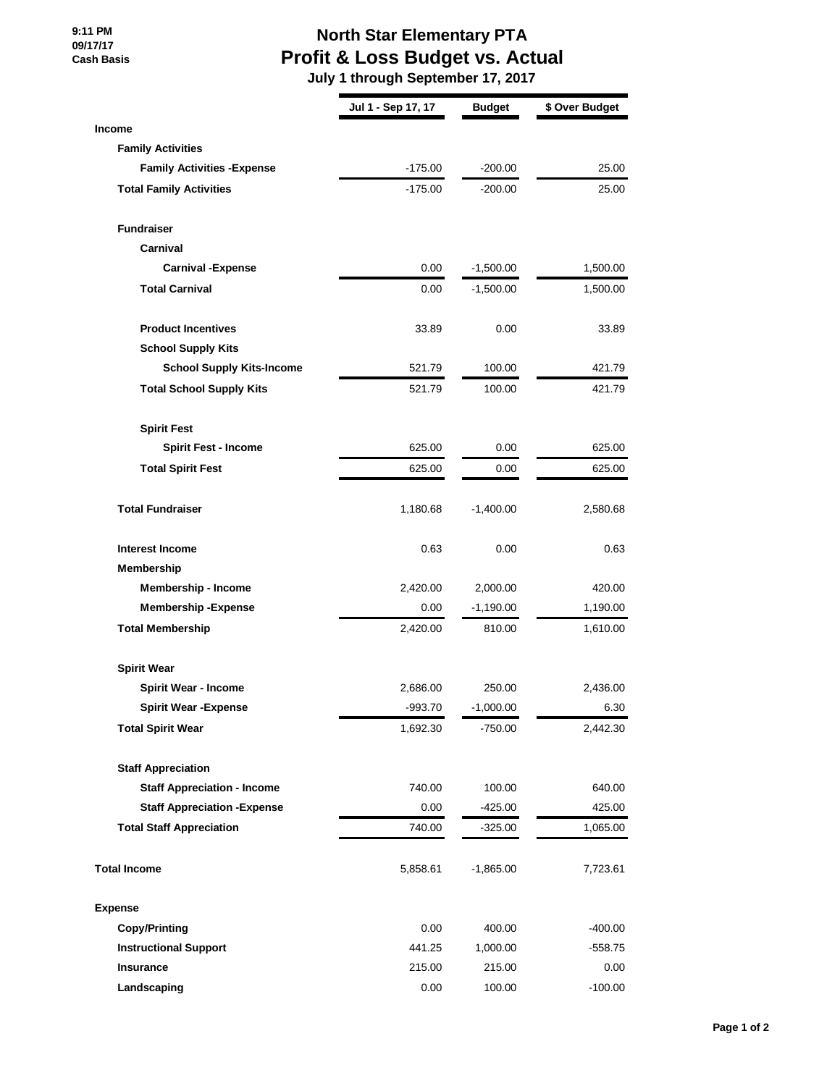**9:11 PM 09/17/17 Cash Basis**

## **North Star Elementary PTA Profit & Loss Budget vs. Actual**

 **July 1 through September 17, 2017**

|                                     | Jul 1 - Sep 17, 17 | <b>Budget</b> | \$ Over Budget |
|-------------------------------------|--------------------|---------------|----------------|
| Income                              |                    |               |                |
| <b>Family Activities</b>            |                    |               |                |
| <b>Family Activities - Expense</b>  | $-175.00$          | $-200.00$     | 25.00          |
| <b>Total Family Activities</b>      | $-175.00$          | $-200.00$     | 25.00          |
| <b>Fundraiser</b>                   |                    |               |                |
| Carnival                            |                    |               |                |
| <b>Carnival -Expense</b>            | 0.00               | $-1,500.00$   | 1,500.00       |
| <b>Total Carnival</b>               | 0.00               | $-1,500.00$   | 1,500.00       |
| <b>Product Incentives</b>           | 33.89              | 0.00          | 33.89          |
| <b>School Supply Kits</b>           |                    |               |                |
| <b>School Supply Kits-Income</b>    | 521.79             | 100.00        | 421.79         |
| <b>Total School Supply Kits</b>     | 521.79             | 100.00        | 421.79         |
| <b>Spirit Fest</b>                  |                    |               |                |
| <b>Spirit Fest - Income</b>         | 625.00             | 0.00          | 625.00         |
| <b>Total Spirit Fest</b>            | 625.00             | 0.00          | 625.00         |
| <b>Total Fundraiser</b>             | 1,180.68           | $-1,400.00$   | 2,580.68       |
| <b>Interest Income</b>              | 0.63               | 0.00          | 0.63           |
| Membership                          |                    |               |                |
| <b>Membership - Income</b>          | 2,420.00           | 2,000.00      | 420.00         |
| <b>Membership-Expense</b>           | 0.00               | $-1,190.00$   | 1,190.00       |
| <b>Total Membership</b>             | 2,420.00           | 810.00        | 1,610.00       |
| <b>Spirit Wear</b>                  |                    |               |                |
| <b>Spirit Wear - Income</b>         | 2,686.00           | 250.00        | 2,436.00       |
| <b>Spirit Wear -Expense</b>         | $-993.70$          | $-1,000.00$   | 6.30           |
| <b>Total Spirit Wear</b>            | 1,692.30           | $-750.00$     | 2,442.30       |
| <b>Staff Appreciation</b>           |                    |               |                |
| <b>Staff Appreciation - Income</b>  | 740.00             | 100.00        | 640.00         |
| <b>Staff Appreciation - Expense</b> | 0.00               | -425.00       | 425.00         |
| <b>Total Staff Appreciation</b>     | 740.00             | $-325.00$     | 1,065.00       |
| <b>Total Income</b>                 | 5,858.61           | $-1,865.00$   | 7,723.61       |
| <b>Expense</b>                      |                    |               |                |
| <b>Copy/Printing</b>                | 0.00               | 400.00        | $-400.00$      |
| <b>Instructional Support</b>        | 441.25             | 1,000.00      | -558.75        |
| <b>Insurance</b>                    | 215.00             | 215.00        | 0.00           |
| Landscaping                         | 0.00               | 100.00        | $-100.00$      |